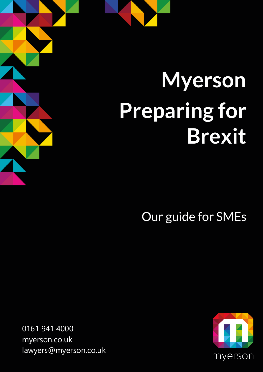## **Myerson Preparing for Brexit**

Our guide for SMEs

0161 941 4000 [myerson.co.uk](http://www.myerson.co.uk/) [lawyers@myerson.co.uk](mailto:lawyers@myerson.co.uk)

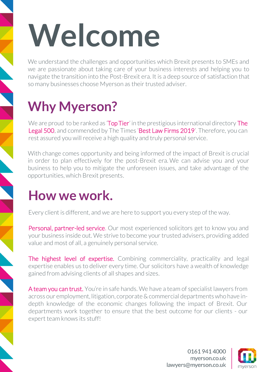# **Welcome**

We understand the challenges and opportunities which Brexit presents to SMEs and we are passionate about taking care of your business interests and helping you to navigate the transition into the Post-Brexit era. It is a deep source of satisfaction that so many businesses choose Myerson as their trusted adviser.

## **Why Myerson?**

We are proud to be ranked as **Top Tier**' in the prestigious international directory **The** [Legal 500](https://www.legal500.com/firms/2471-myerson-solicitors-llp/3510-altrincham-england/), and commended by The Times 'Best Law Firms 2019'. Therefore, you can rest assured you will receive a high quality and truly personal service.

With change comes opportunity and being informed of the impact of Brexit is crucial in order to plan effectively for the post-Brexit era. We can advise you and your business to help you to mitigate the unforeseen issues, and take advantage of the opportunities, which Brexit presents.

### **How we work.**

Every client is different, and we are here to support you every step of the way.

Personal, partner-led service. Our most experienced solicitors get to know you and your business inside out. We strive to become your trusted advisers, providing added value and most of all, a genuinely personal service.

The highest level of expertise. Combining commerciality, practicality and legal expertise enables us to deliver every time. Our solicitors have a wealth of knowledge gained from advising clients of all shapes and sizes.

A team you can trust. You're in safe hands. We have a team of specialist lawyers from across our employment, litigation, corporate & commercial departments who have indepth knowledge of the economic changes following the impact of Brexit. Our departments work together to ensure that the best outcome for our clients - our expert team knows its stuff!

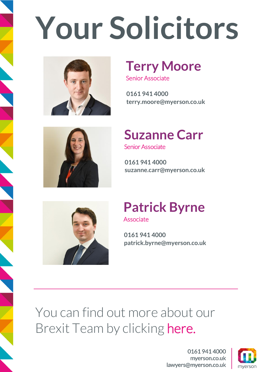# **Your Solicitors**



## **Terry Moore**

Senior Associate

**0161 941 4000 terry.moore@myerson.co.uk**



## **Suzanne Carr**

Senior Associate

**0161 941 4000 suzanne.carr@myerson.co.uk**



#### **Patrick Byrne**  Associate

**0161 941 4000 patrick.byrne@myerson.co.uk**

You can find out more about our Brexit Team by clicking [here.](https://www.myerson.co.uk/business/brexit)

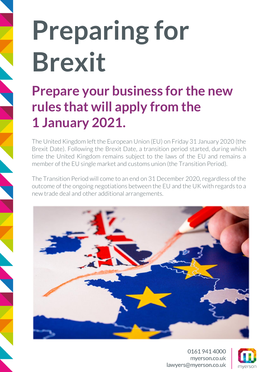## **Preparing for Brexit**

## **Prepare your business for the new rules that will apply from the 1 January 2021.**

The United Kingdom left the European Union (EU) on Friday 31 January 2020 (the Brexit Date). Following the Brexit Date, a transition period started, during which time the United Kingdom remains subject to the laws of the EU and remains a member of the EU single market and customs union (the Transition Period).

The Transition Period will come to an end on 31 December 2020, regardless of the outcome of the ongoing negotiations between the EU and the UK with regards to a new trade deal and other additional arrangements.



01619414000 myerson.co.uk lawyers@myerson.co.uk

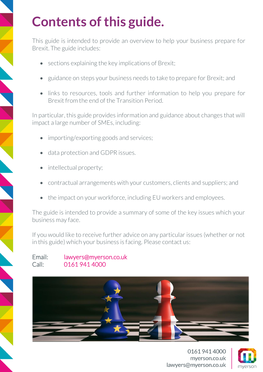## **Contents of this guide.**

This guide is intended to provide an overview to help your business prepare for Brexit. The guide includes:

- sections explaining the key implications of Brexit;
- guidance on steps your business needs to take to prepare for Brexit; and
- links to resources, tools and further information to help you prepare for Brexit from the end of the Transition Period.

In particular, this guide provides information and guidance about changes that will impact a large number of SMEs, including:

- importing/exporting goods and services;
- data protection and GDPR issues.
- intellectual property;
- contractual arrangements with your customers, clients and suppliers; and
- the impact on your workforce, including EU workers and employees.

The guide is intended to provide a summary of some of the key issues which your business may face.

If you would like to receive further advice on any particular issues (whether or not in this guide) which your business is facing. Please contact us:

#### Email: [lawyers@myerson.co.uk](mailto:lawyers@myerson.co.uk) Call: 0161 941 4000



01619414000 myerson.co.uk lawyers@myerson.co.uk

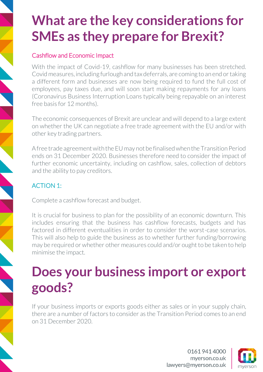## **What are the key considerations for SMEs as they prepare for Brexit?**

#### [Cashflow](mailto:lawyers@myerson.co.uk) and Economic Impact

With the impact of Covid-19, cashflow for many businesses has been stretched. Covid measures, including furlough and tax deferrals, are coming to an end or taking a different form and businesses are now being required to fund the full cost of employees, pay taxes due, and will soon start making repayments for any loans (Coronavirus Business Interruption Loans typically being repayable on an interest free basis for 12 months).

The economic consequences of Brexit are unclear and will depend to a large extent on whether the UK can negotiate a free trade agreement with the EU and/or with other key trading partners.

A free trade agreement with the EU may not be finalised when the Transition Period ends on 31 December 2020. Businesses therefore need to consider the impact of further economic uncertainty, including on cashflow, sales, collection of debtors and the ability to pay creditors.

#### ACTION 1:

Complete a cashflow forecast and budget.

It is crucial for business to plan for the possibility of an economic downturn. This includes ensuring that the business has cashflow forecasts, budgets and has factored in different eventualities in order to consider the worst-case scenarios. This will also help to guide the business as to whether further funding/borrowing may be required or whether other measures could and/or ought to be taken to help minimise the impact.

## **Does your business import or export goods?**

If your business imports or exports goods either as sales or in your supply chain, there are a number of factors to consider as the Transition Period comes to an end on 31 December 2020.

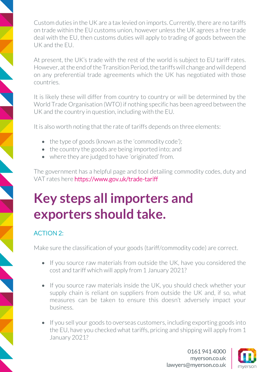Custom duties in the UK are a tax levied on imports. Currently, there are no tariffs on trade within the EU customs union, however unless the UK agrees a free trade deal with the EU, then customs duties will apply to trading of goods between the UK and the EU.

At present, the UK's trade with the rest of the world is subject to EU tariff rates. However, at the end of the Transition Period, the tariffs will change and will depend on any preferential trade agreements which the UK has negotiated with those countries.

It is likely these will differ from country to country or will be determined by the World Trade Organisation (WTO) if nothing specific has been agreed between the UK and the country in question, including with the EU.

It is also worth noting that the rate of tariffs depends on three elements:

- the type of goods (known as the 'commodity code');
- the country the goods are being imported into; and
- where they are judged to have 'originated' from.

The government has a helpful page and tool detailing commodity codes, duty and VAT rates here <https://www.gov.uk/trade-tariff>

## **Key steps all importers and exporters should take.**

#### ACTION 2:

Make sure the classification of your goods (tariff/commodity code) are correct.

- If you source raw materials from outside the UK, have you considered the cost and tariff which will apply from 1 January 2021?
- If you source raw materials inside the UK, you should check whether your supply chain is reliant on suppliers from outside the UK and, if so, what measures can be taken to ensure this doesn't adversely impact your business.
- If you sell your goods to overseas customers, including exporting goods into the EU, have you checked what tariffs, pricing and shipping will apply from 1 January 2021?

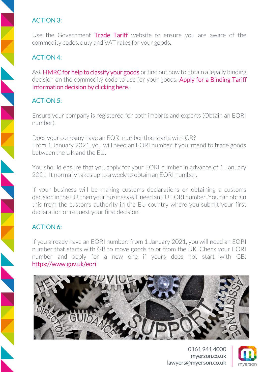#### ACTION 3:

Use the Government [Trade Tariff](https://www.gov.uk/trade-tariff) website to ensure you are aware of the commodity codes, duty and VAT rates for your goods.

#### ACTION 4:

Ask **HMRC for help to classify your goods** or find out how to obtain a legally binding decision on the commodity code to use for your goods. Apply for a Binding Tariff [Information decision](https://www.gov.uk/guidance/apply-for-a-binding-tariff-information-decision-notice-600#:~:text=A%20Binding%20Tariff%20Information%20(%20BTI,UK%20and%20EU%20customs%20administrations) by clicking here.

#### ACTION 5:

Ensure your company is registered for both imports and exports (Obtain an EORI number).

Does your company have an EORI number that starts with GB? From 1 January 2021, you will need an EORI number if you intend to trade goods between the UK and the EU.

You should ensure that you apply for your EORI number in advance of 1 January 2021. It normally takes up to a week to obtain an EORI number.

If your business will be making customs declarations or obtaining a customs decision in the EU, then your business will need an EU EORI number. You can obtain this from the customs authority in the EU country where you submit your first declaration or request your first decision.

#### ACTION 6:

If you already have an EORI number: from 1 January 2021, you will need an EORI number that starts with GB to move goods to or from the UK. Check your EORI number and apply for a new one if yours does not start with GB: <https://www.gov.uk/eori>



01619414000 mverson.co.uk lawyers@myerson.co.uk

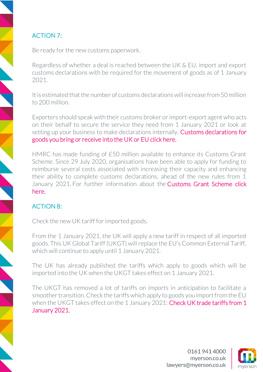#### ACTION 7:

Be ready for the new customs paperwork.

Regardless of whether a deal is reached between the UK & EU, import and export customs declarations with be required for the movement of goods as of 1 January 2021.

It is estimated that the number of customs declarations will increase from 50 million to 200 million.

Exporters should speak with their customs broker or import-export agent who acts on their behalf to secure the service they need from 1 January 2021 or look at setting up your business to make declarations internally. **Customs declarations for** [goods you bring or receive into the UK or EU](https://www.gov.uk/guidance/customs-declarations-for-goods-brought-into-the-eu) click here.

HMRC has made funding of £50 million available to enhance its Customs Grant Scheme. Since 29 July 2020, organisations have been able to apply for funding to reimburse several costs associated with increasing their capacity and enhancing their ability to complete customs declarations, ahead of the new rules from 1 January 2021. For further information about the [Customs Grant Scheme](https://www.customsintermediarygrant.co.uk/) click here.

#### ACTION 8:

Check the new UK tariff for imported goods.

From the 1 January 2021, the UK will apply a new tariff in respect of all imported goods. This UK Global Tariff (UKGT) will replace the EU's Common External Tariff, which will continue to apply until 1 January 2021.

The UK has already published the tariffs which apply to goods which will be imported into the UK when the UKGT takes effect on 1 January 2021.

The UKGT has removed a lot of tariffs on imports in anticipation to facilitate a smoother transition. Check the tariffs which apply to goods you import from the EU when the UKGT takes effect on the 1 January 2021: Check UK trade tariffs from 1 [January 2021.](https://www.gov.uk/check-tariffs-1-january-2021)

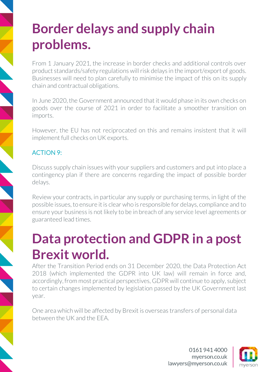## **Border delays and supply chain problems.**

From 1 January 2021, the increase in border checks and additional controls over product standards/safety regulations will risk delays in the import/export of goods. Businesses will need to plan carefully to minimise the impact of this on its supply chain and contractual obligations.

In June 2020, the Government announced that it would phase in its own checks on goods over the course of 2021 in order to facilitate a smoother transition on imports.

However, the EU has not reciprocated on this and remains insistent that it will implement full checks on UK exports.

#### ACTION 9:

Discuss supply chain issues with your suppliers and customers and put into place a contingency plan if there are concerns regarding the impact of possible border delays.

Review your contracts, in particular any supply or purchasing terms, in light of the possible issues, to ensure it is clear who is responsible for delays, compliance and to ensure your business is not likely to be in breach of any service level agreements or guaranteed lead times.

## **Data protection and GDPR in a post Brexit world.**

After the Transition Period ends on 31 December 2020, the Data Protection Act 2018 (which implemented the GDPR into UK law) will remain in force and, accordingly, from most practical perspectives, GDPR will continue to apply, subject to certain changes implemented by legislation passed by the UK Government last year.

One area which will be affected by Brexit is overseas transfers of personal data between the UK and the EEA.

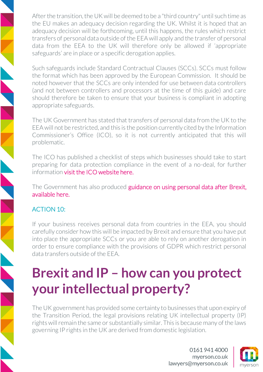After the transition, the UK will be deemed to be a "third country" until such time as the EU makes an adequacy decision regarding the UK. Whilst it is hoped that an adequacy decision will be forthcoming, until this happens, the rules which restrict transfers of personal data outside of the EEA will apply and the transfer of personal data from the EEA to the UK will therefore only be allowed if 'appropriate safeguards' are in place or a specific derogation applies.

Such safeguards include Standard Contractual Clauses (SCCs). SCCs must follow the format which has been approved by the European Commission. It should be noted however that the SCCs are only intended for use between data controllers (and not between controllers and processors at the time of this guide) and care should therefore be taken to ensure that your business is compliant in adopting appropriate safeguards.

The UK Government has stated that transfers of personal data from the UK to the EEA will not be restricted, and this is the position currently cited by the Information Commissioner's Office (ICO), so it is not currently anticipated that this will problematic.

The ICO has published a checklist of steps which businesses should take to start preparing for data protection compliance in the event of a no-deal, for further information [visit the ICO website here.](https://ico.org.uk/for-organisations/data-protection-at-the-end-of-the-transition-period/)

The Government has also produced guidance on using personal data after Brexit, [available here.](https://www.gov.uk/guidance/using-personal-data-after-brexit)

#### ACTION 10:

If your business receives personal data from countries in the EEA, you should carefully consider how this will be impacted by Brexit and ensure that you have put into place the appropriate SCCs or you are able to rely on another derogation in order to ensure compliance with the provisions of GDPR which restrict personal data transfers outside of the EEA.

## **Brexit and IP – how can you protect your intellectual property?**

The UK government has provided some certainty to businesses that upon expiry of the Transition Period, the legal provisions relating UK intellectual property (IP) rights will remain the same or substantially similar. This is because many of the laws governing IP rights in the UK are derived from domestic legislation.

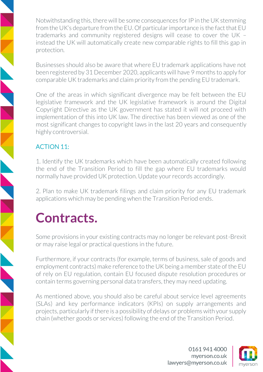Notwithstanding this, there will be some consequences for IP in the UK stemming from the UK's departure from the EU. Of particular importance is the fact that EU trademarks and community registered designs will cease to cover the UK – instead the UK will automatically create new comparable rights to fill this gap in protection.

Businesses should also be aware that where EU trademark applications have not been registered by 31 December 2020, applicants will have 9 months to apply for comparable UK trademarks and claim priority from the pending EU trademark.

One of the areas in which significant divergence may be felt between the EU legislative framework and the UK legislative framework is around the Digital Copyright Directive as the UK government has stated it will not proceed with implementation of this into UK law. The directive has been viewed as one of the most significant changes to copyright laws in the last 20 years and consequently highly controversial.

#### ACTION 11:

1. Identify the UK trademarks which have been automatically created following the end of the Transition Period to fill the gap where EU trademarks would normally have provided UK protection. Update your records accordingly.

2. Plan to make UK trademark filings and claim priority for any EU trademark applications which may be pending when the Transition Period ends.

### **Contracts.**

Some provisions in your existing contracts may no longer be relevant post-Brexit or may raise legal or practical questions in the future.

Furthermore, if your contracts (for example, terms of business, sale of goods and employment contracts) make reference to the UK being a member state of the EU of rely on EU regulation, contain EU focused dispute resolution procedures or contain terms governing personal data transfers, they may need updating.

As mentioned above, you should also be careful about service level agreements (SLAs) and key performance indicators (KPIs) on supply arrangements and projects, particularly if there is a possibility of delays or problems with your supply chain (whether goods or services) following the end of the Transition Period.

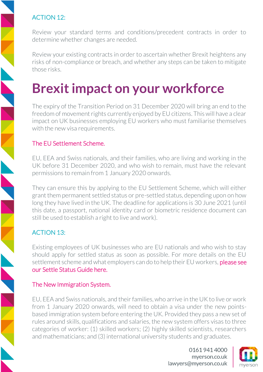#### ACTION 12:

Review your standard terms and conditions/precedent contracts in order to determine whether changes are needed.

Review your existing contracts in order to ascertain whether Brexit heightens any risks of non-compliance or breach, and whether any steps can be taken to mitigate those risks.

## **Brexit impact on your workforce**

The expiry of the Transition Period on 31 December 2020 will bring an end to the freedom of movement rights currently enjoyed by EU citizens. This will have a clear impact on UK businesses employing EU workers who must familiarise themselves with the new visa requirements.

#### The EU Settlement Scheme.

EU, EEA and Swiss nationals, and their families, who are living and working in the UK before 31 December 2020, and who wish to remain, must have the relevant permissions to remain from 1 January 2020 onwards.

They can ensure this by applying to the EU Settlement Scheme, which will either grant them permanent settled status or pre-settled status, depending upon on how long they have lived in the UK. The deadline for applications is 30 June 2021 (until this date, a passport, national identity card or biometric residence document can still be used to establish a right to live and work).

#### ACTION 13:

Existing employees of UK businesses who are EU nationals and who wish to stay should apply for settled status as soon as possible. For more details on the EU settlement scheme and what employers can do to help their EU workers, please see [our Settle Status Guide here.](https://www.myerson.co.uk/assets/Downloads/Guide-Brexit-Settled-Status.pdf) 

#### The New Immigration System.

EU, EEA and Swiss nationals, and their families, who arrive in the UK to live or work from 1 January 2020 onwards, will need to obtain a visa under the new pointsbased immigration system before entering the UK. Provided they pass a new set of rules around skills, qualifications and salaries, the new system offers visas to three categories of worker: (1) skilled workers; (2) highly skilled scientists, researchers and mathematicians; and (3) international university students and graduates.

> 01619414000 myerson.co.uk lawyers@myerson.co.uk

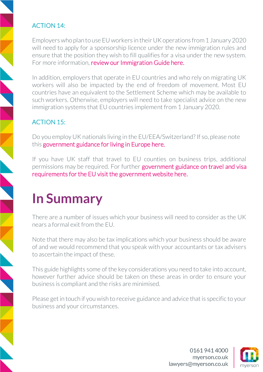#### ACTION 14:

Employers who plan to use EU workers in their UK operations from 1 January 2020 will need to apply for a sponsorship licence under the new immigration rules and ensure that the position they wish to fill qualifies for a visa under the new system. For more information, [review our Immigration Guide here.](https://www.myerson.co.uk/assets/Downloads/Guide-Brexit-New-UK-Immigration-System.pdf)

In addition, employers that operate in EU countries and who rely on migrating UK workers will also be impacted by the end of freedom of movement. Most EU countries have an equivalent to the Settlement Scheme which may be available to such workers. Otherwise, employers will need to take specialist advice on the new immigration systems that EU countries implement from 1 January 2020.

#### ACTION 15:

Do you employ UK nationals living in the EU/EEA/Switzerland? If so, please note this [government guidance for living in Europe here.](https://www.gov.uk/guidance/living-in-europe)

If you have UK staff that travel to EU counties on business trips, additional permissions may be required. For further government guidance on travel and visa [requirements for the EU visit the government website here.](https://www.gov.uk/visit-europe-1-january-2021)

## **In Summary**

There are a number of issues which your business will need to consider as the UK nears a formal exit from the EU.

Note that there may also be tax implications which your business should be aware of and we would recommend that you speak with your accountants or tax advisers to ascertain the impact of these.

This guide highlights some of the key considerations you need to take into account, however further advice should be taken on these areas in order to ensure your business is compliant and the risks are minimised.

Please get in touch if you wish to receive guidance and advice that is specific to your business and your circumstances.